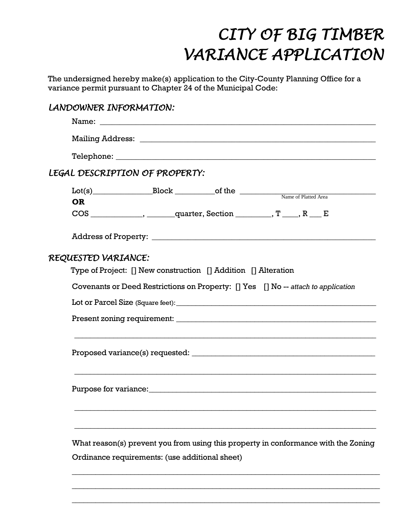## *CITY OF BIG TIMBER VARIANCE APPLICATION*

The undersigned hereby make(s) application to the City-County Planning Office for a variance permit pursuant to Chapter 24 of the Municipal Code:

## Name of Platted Area Lot(s)\_\_\_\_\_\_\_\_\_\_\_\_\_\_\_Block \_\_\_\_\_\_\_\_\_\_of the \_\_\_\_\_\_\_\_\_\_\_\_\_\_\_\_\_\_\_\_\_\_\_\_\_\_\_\_\_\_\_\_\_\_ *LANDOWNER INFORMATION:*  Name: \_\_\_\_\_\_\_\_\_\_\_\_\_\_\_\_\_\_\_\_\_\_\_\_\_\_\_\_\_\_\_\_\_\_\_\_\_\_\_\_\_\_\_\_\_\_\_\_\_\_\_\_\_\_\_\_\_\_\_\_\_\_\_\_\_\_\_\_\_ Mailing Address: \_\_\_\_\_\_\_\_\_\_\_\_\_\_\_\_\_\_\_\_\_\_\_\_\_\_\_\_\_\_\_\_\_\_\_\_\_\_\_\_\_\_\_\_\_\_\_\_\_\_\_\_\_\_\_\_\_\_\_ Telephone: \_\_\_\_\_\_\_\_\_\_\_\_\_\_\_\_\_\_\_\_\_\_\_\_\_\_\_\_\_\_\_\_\_\_\_\_\_\_\_\_\_\_\_\_\_\_\_\_\_\_\_\_\_\_\_\_\_\_\_\_\_\_\_\_\_ *LEGAL DESCRIPTION OF PROPERTY:*  **OR**  $COS$  \_\_\_\_\_\_\_\_\_\_\_\_\_, \_\_\_\_\_\_\_\_quarter, Section \_\_\_\_\_\_\_\_\_,  $T$  \_\_\_\_,  $R$  \_\_\_ E Address of Property: **\_\_\_\_\_\_\_\_\_\_\_\_\_\_\_\_\_\_\_\_\_\_\_\_\_\_\_\_\_\_\_\_\_\_\_\_\_\_\_\_\_\_\_\_\_\_\_\_\_\_\_\_\_\_\_\_** *REQUESTED VARIANCE:*  Type of Project: [] New construction [] Addition [] Alteration Covenants or Deed Restrictions on Property: [] Yes [] No -- *attach to application* Lot or Parcel Size (Square feet): Present zoning requirement: \_\_\_\_\_\_\_\_\_\_\_\_\_\_\_\_\_\_\_\_\_\_\_\_\_\_\_\_\_\_\_\_\_\_\_\_\_\_\_\_\_\_\_\_\_\_\_\_\_\_\_ \_\_\_\_\_\_\_\_\_\_\_\_\_\_\_\_\_\_\_\_\_\_\_\_\_\_\_\_\_\_\_\_\_\_\_\_\_\_\_\_\_\_\_\_\_\_\_\_\_\_\_\_\_\_\_\_\_\_\_\_\_\_\_\_\_\_\_\_\_\_\_\_\_\_\_\_\_ Proposed variance(s) requested:  $\blacksquare$ \_\_\_\_\_\_\_\_\_\_\_\_\_\_\_\_\_\_\_\_\_\_\_\_\_\_\_\_\_\_\_\_\_\_\_\_\_\_\_\_\_\_\_\_\_\_\_\_\_\_\_\_\_\_\_\_\_\_\_\_\_\_\_\_\_\_\_\_\_\_\_\_\_\_\_\_\_ Purpose for variance:\_\_\_\_\_\_\_\_\_\_\_\_\_\_\_\_\_\_\_\_\_\_\_\_\_\_\_\_\_\_\_\_\_\_\_\_\_\_\_\_\_\_\_\_\_\_\_\_\_\_\_\_\_\_\_\_\_\_ \_\_\_\_\_\_\_\_\_\_\_\_\_\_\_\_\_\_\_\_\_\_\_\_\_\_\_\_\_\_\_\_\_\_\_\_\_\_\_\_\_\_\_\_\_\_\_\_\_\_\_\_\_\_\_\_\_\_\_\_\_\_\_\_\_\_\_\_\_\_\_\_\_\_\_\_\_ \_\_\_\_\_\_\_\_\_\_\_\_\_\_\_\_\_\_\_\_\_\_\_\_\_\_\_\_\_\_\_\_\_\_\_\_\_\_\_\_\_\_\_\_\_\_\_\_\_\_\_\_\_\_\_\_\_\_\_\_\_\_\_\_\_\_\_\_\_\_\_\_\_\_\_\_\_ What reason(s) prevent you from using this property in conformance with the Zoning Ordinance requirements: (use additional sheet)

\_\_\_\_\_\_\_\_\_\_\_\_\_\_\_\_\_\_\_\_\_\_\_\_\_\_\_\_\_\_\_\_\_\_\_\_\_\_\_\_\_\_\_\_\_\_\_\_\_\_\_\_\_\_\_\_\_\_\_\_\_\_\_\_\_\_\_\_\_\_\_\_\_\_\_\_\_\_\_

\_\_\_\_\_\_\_\_\_\_\_\_\_\_\_\_\_\_\_\_\_\_\_\_\_\_\_\_\_\_\_\_\_\_\_\_\_\_\_\_\_\_\_\_\_\_\_\_\_\_\_\_\_\_\_\_\_\_\_\_\_\_\_\_\_\_\_\_\_\_\_\_\_\_\_\_\_\_\_

\_\_\_\_\_\_\_\_\_\_\_\_\_\_\_\_\_\_\_\_\_\_\_\_\_\_\_\_\_\_\_\_\_\_\_\_\_\_\_\_\_\_\_\_\_\_\_\_\_\_\_\_\_\_\_\_\_\_\_\_\_\_\_\_\_\_\_\_\_\_\_\_\_\_\_\_\_\_\_